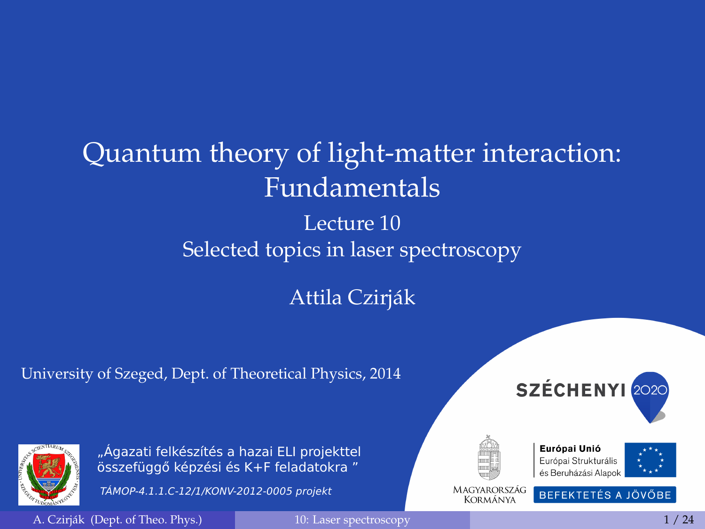# <span id="page-0-0"></span>Quantum theory of light-matter interaction: Fundamentals

#### Lecture 10 Selected topics in laser spectroscopy

#### Attila Czirják

#### University of Szeged, Dept. of Theoretical Physics, 2014





"Ágazati felkészítés a hazai ELI projekttel összefüggő képzési és K+F feladatokra "

TÁMOP-4.1.1.C-12/1/KONV-2012-0005 projekt







MAGYARORSZÁG Kormánya

BEFEKTETÉS A JÖVŐBE

A. Cziriák (Dept. of Theo. Phys.) [10: Laser spectroscopy](#page-23-0) 1 / 24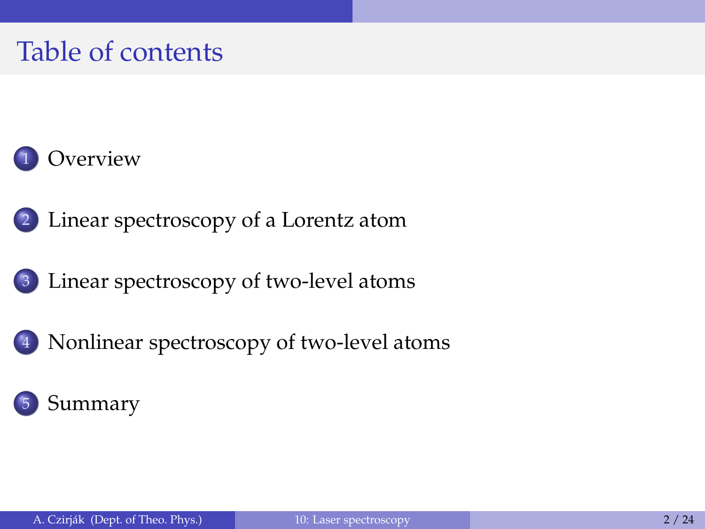#### Table of contents



- 2 [Linear spectroscopy of a Lorentz atom](#page-3-0)
- 3 [Linear spectroscopy of two-level atoms](#page-6-0)
- 4 [Nonlinear spectroscopy of two-level atoms](#page-14-0)

#### **[Summary](#page-21-0)**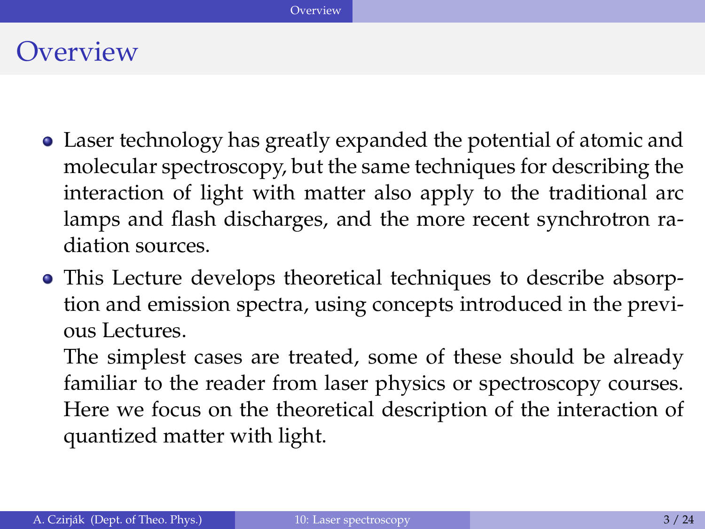#### <span id="page-2-0"></span>**Overview**

- Laser technology has greatly expanded the potential of atomic and molecular spectroscopy, but the same techniques for describing the interaction of light with matter also apply to the traditional arc lamps and flash discharges, and the more recent synchrotron radiation sources.
- This Lecture develops theoretical techniques to describe absorption and emission spectra, using concepts introduced in the previous Lectures.

The simplest cases are treated, some of these should be already familiar to the reader from laser physics or spectroscopy courses. Here we focus on the theoretical description of the interaction of quantized matter with light.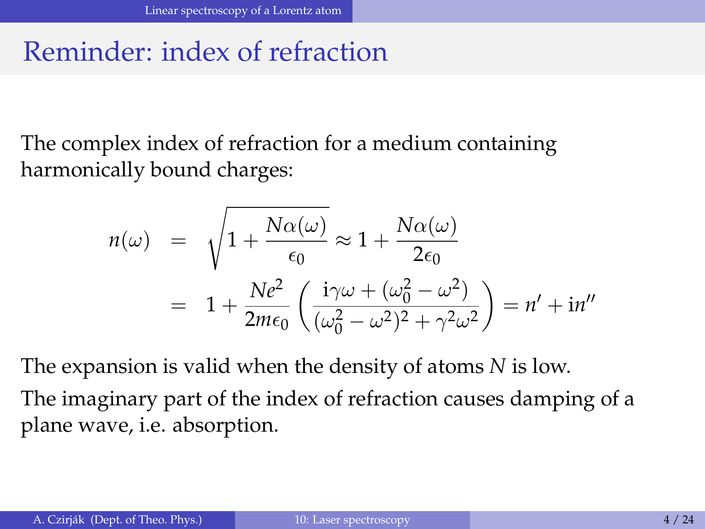#### <span id="page-3-0"></span>Reminder: index of refraction

The complex index of refraction for a medium containing harmonically bound charges:

$$
n(\omega) = \sqrt{1 + \frac{N\alpha(\omega)}{\epsilon_0}} \approx 1 + \frac{N\alpha(\omega)}{2\epsilon_0}
$$
  
= 
$$
1 + \frac{Ne^2}{2m\epsilon_0} \left(\frac{i\gamma\omega + (\omega_0^2 - \omega^2)}{(\omega_0^2 - \omega^2)^2 + \gamma^2\omega^2}\right) = n' + in''
$$

The expansion is valid when the density of atoms *N* is low. The imaginary part of the index of refraction causes damping of a plane wave, i.e. absorption.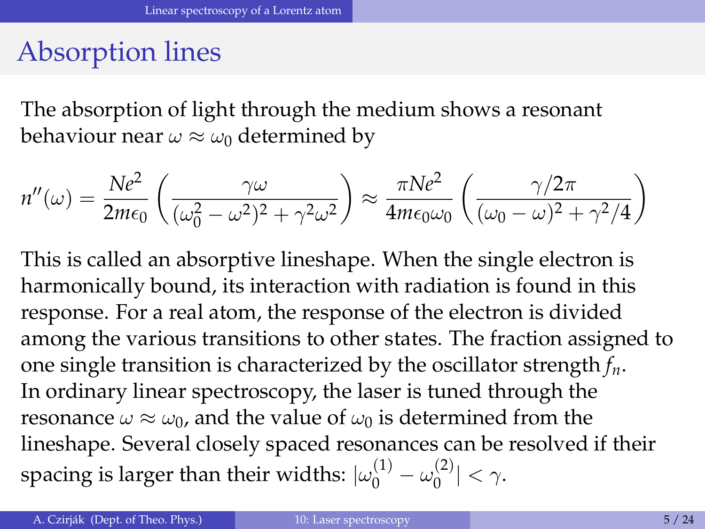## <span id="page-4-0"></span>Absorption lines

The absorption of light through the medium shows a resonant behaviour near  $\omega \approx \omega_0$  determined by

$$
n''(\omega) = \frac{Ne^2}{2m\epsilon_0} \left(\frac{\gamma \omega}{(\omega_0^2 - \omega^2)^2 + \gamma^2 \omega^2}\right) \approx \frac{\pi Ne^2}{4m\epsilon_0 \omega_0} \left(\frac{\gamma/2\pi}{(\omega_0 - \omega)^2 + \gamma^2/4}\right)
$$

This is called an absorptive lineshape. When the single electron is harmonically bound, its interaction with radiation is found in this response. For a real atom, the response of the electron is divided among the various transitions to other states. The fraction assigned to one single transition is characterized by the oscillator strength *fn*. In ordinary linear spectroscopy, the laser is tuned through the resonance  $\omega \approx \omega_0$ , and the value of  $\omega_0$  is determined from the lineshape. Several closely spaced resonances can be resolved if their spacing is larger than their widths:  $\vert\omega^{(1)}_0-\omega^{(2)}_0\vert$  $|0^{(2)}| < \gamma.$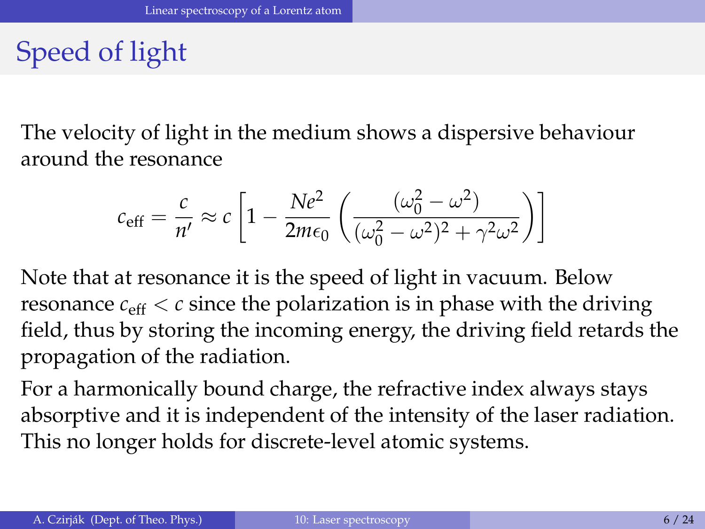## <span id="page-5-0"></span>Speed of light

The velocity of light in the medium shows a dispersive behaviour around the resonance

$$
c_{\text{eff}} = \frac{c}{n'} \approx c \left[ 1 - \frac{Ne^2}{2m\epsilon_0} \left( \frac{(\omega_0^2 - \omega^2)}{(\omega_0^2 - \omega^2)^2 + \gamma^2 \omega^2} \right) \right]
$$

Note that at resonance it is the speed of light in vacuum. Below resonance  $c_{\text{eff}} < c$  since the polarization is in phase with the driving field, thus by storing the incoming energy, the driving field retards the propagation of the radiation.

For a harmonically bound charge, the refractive index always stays absorptive and it is independent of the intensity of the laser radiation. This no longer holds for discrete-level atomic systems.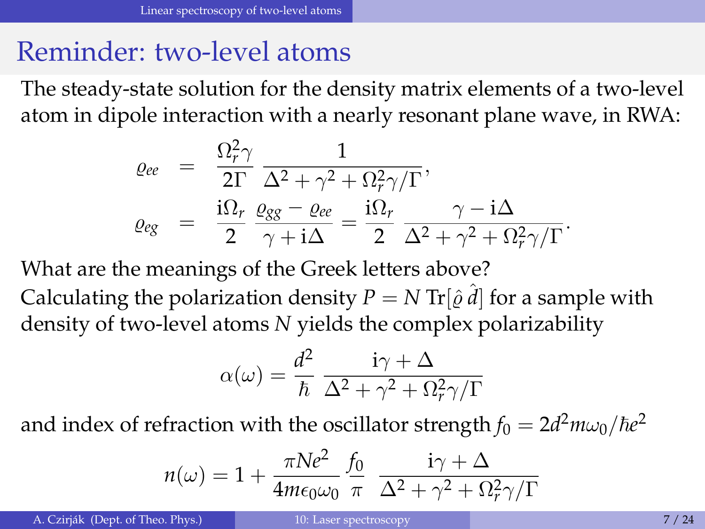#### <span id="page-6-0"></span>Reminder: two-level atoms

The steady-state solution for the density matrix elements of a two-level atom in dipole interaction with a nearly resonant plane wave, in RWA:

$$
\begin{array}{lcl} \varrho_{ee} & = & \displaystyle \frac{\Omega_r^2 \gamma}{2\Gamma} \, \frac{1}{\Delta^2 + \gamma^2 + \Omega_r^2 \gamma/\Gamma}, \\[1ex] \varrho_{eg} & = & \displaystyle \frac{\mathrm{i} \Omega_r}{2} \, \frac{\varrho_{gg} - \varrho_{ee}}{\gamma + \mathrm{i} \Delta} = \frac{\mathrm{i} \Omega_r}{2} \, \frac{\gamma - \mathrm{i} \Delta}{\Delta^2 + \gamma^2 + \Omega_r^2 \gamma/\Gamma}. \end{array}
$$

What are the meanings of the Greek letters above?

Calculating the polarization density  $P = N \text{ Tr}[\hat{\varrho} \, \hat{d}]$  for a sample with density of two-level atoms *N* yields the complex polarizability

$$
\alpha(\omega) = \frac{d^2}{\hbar} \frac{\mathrm{i}\gamma + \Delta}{\Delta^2 + \gamma^2 + \Omega_r^2 \gamma/\Gamma}
$$

and index of refraction with the oscillator strength  $f_0 = 2d^2 m \omega_0/\hbar e^2$ 

$$
n(\omega) = 1 + \frac{\pi N e^2}{4m\epsilon_0 \omega_0} \frac{f_0}{\pi} \frac{i\gamma + \Delta}{\Delta^2 + \gamma^2 + \Omega_r^2 \gamma/\Gamma}
$$

A. Czirják (Dept. of Theo. Phys.) [10: Laser spectroscopy](#page-0-0) 7/24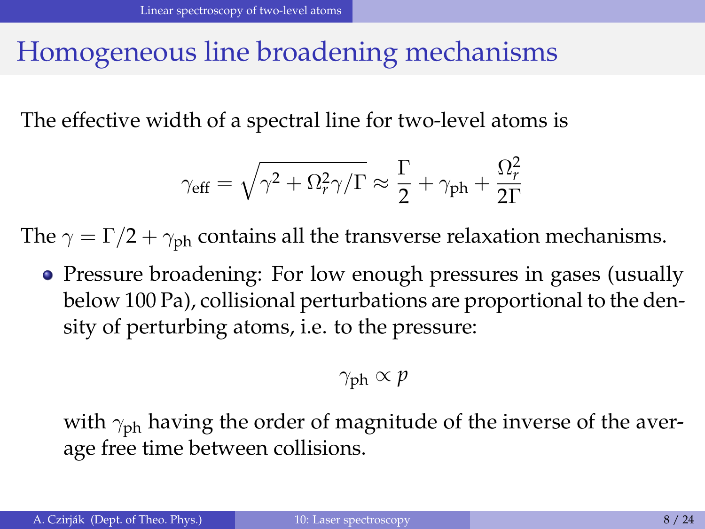#### <span id="page-7-0"></span>Homogeneous line broadening mechanisms

The effective width of a spectral line for two-level atoms is

$$
\gamma_{\rm eff} = \sqrt{\gamma^2 + \Omega_r^2 \gamma / \Gamma} \approx \frac{\Gamma}{2} + \gamma_{\rm ph} + \frac{\Omega_r^2}{2\Gamma}
$$

The  $\gamma = \Gamma/2 + \gamma_{\rm ph}$  contains all the transverse relaxation mechanisms.

• Pressure broadening: For low enough pressures in gases (usually below 100 Pa), collisional perturbations are proportional to the density of perturbing atoms, i.e. to the pressure:

$$
\gamma_{\rm ph} \propto p
$$

with  $\gamma_{\rm ph}$  having the order of magnitude of the inverse of the average free time between collisions.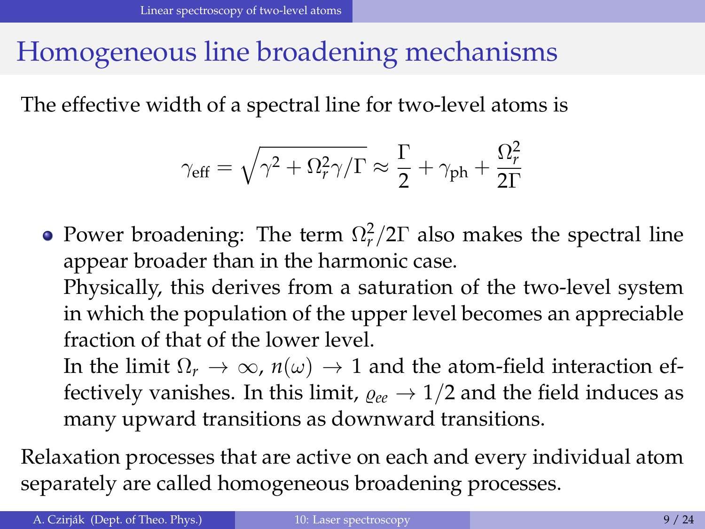## <span id="page-8-0"></span>Homogeneous line broadening mechanisms

The effective width of a spectral line for two-level atoms is

$$
\gamma_{\rm eff} = \sqrt{\gamma^2 + \Omega_r^2 \gamma / \Gamma} \approx \frac{\Gamma}{2} + \gamma_{\rm ph} + \frac{\Omega_r^2}{2\Gamma}
$$

Power broadening: The term  $\Omega_r^2/2\Gamma$  also makes the spectral line appear broader than in the harmonic case.

Physically, this derives from a saturation of the two-level system in which the population of the upper level becomes an appreciable fraction of that of the lower level.

In the limit  $\Omega_r \to \infty$ ,  $n(\omega) \to 1$  and the atom-field interaction effectively vanishes. In this limit,  $\rho_{ee} \rightarrow 1/2$  and the field induces as many upward transitions as downward transitions.

Relaxation processes that are active on each and every individual atom separately are called homogeneous broadening processes.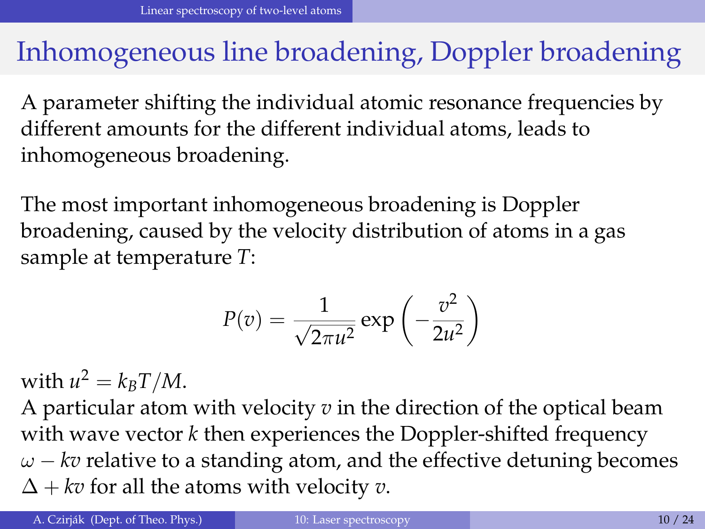#### <span id="page-9-0"></span>Inhomogeneous line broadening, Doppler broadening

A parameter shifting the individual atomic resonance frequencies by different amounts for the different individual atoms, leads to inhomogeneous broadening.

The most important inhomogeneous broadening is Doppler broadening, caused by the velocity distribution of atoms in a gas sample at temperature *T*:

$$
P(v) = \frac{1}{\sqrt{2\pi u^2}} \exp\left(-\frac{v^2}{2u^2}\right)
$$

with  $u^2 = k_B T/M$ .

A particular atom with velocity *v* in the direction of the optical beam with wave vector *k* then experiences the Doppler-shifted frequency  $\omega$  – *kv* relative to a standing atom, and the effective detuning becomes  $\Delta$  + *kv* for all the atoms with velocity *v*.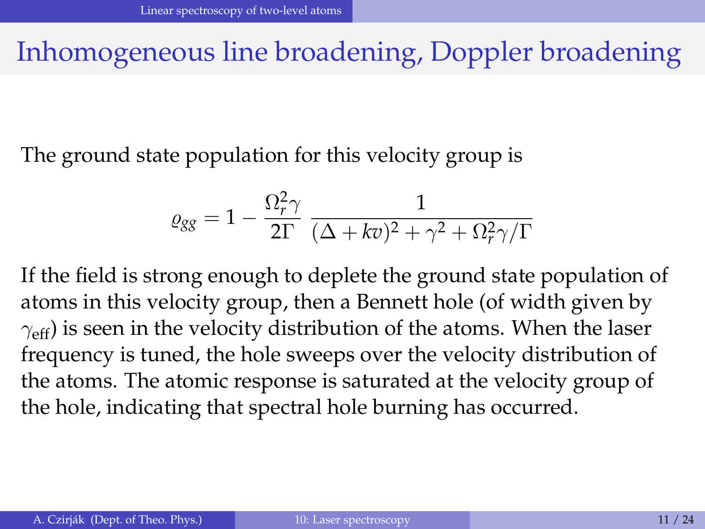#### <span id="page-10-0"></span>Inhomogeneous line broadening, Doppler broadening

The ground state population for this velocity group is

$$
\varrho_{gg} = 1 - \frac{\Omega_r^2 \gamma}{2\Gamma} \frac{1}{(\Delta + kv)^2 + \gamma^2 + \Omega_r^2 \gamma/\Gamma}
$$

If the field is strong enough to deplete the ground state population of atoms in this velocity group, then a Bennett hole (of width given by  $\gamma_{\text{eff}}$ ) is seen in the velocity distribution of the atoms. When the laser frequency is tuned, the hole sweeps over the velocity distribution of the atoms. The atomic response is saturated at the velocity group of the hole, indicating that spectral hole burning has occurred.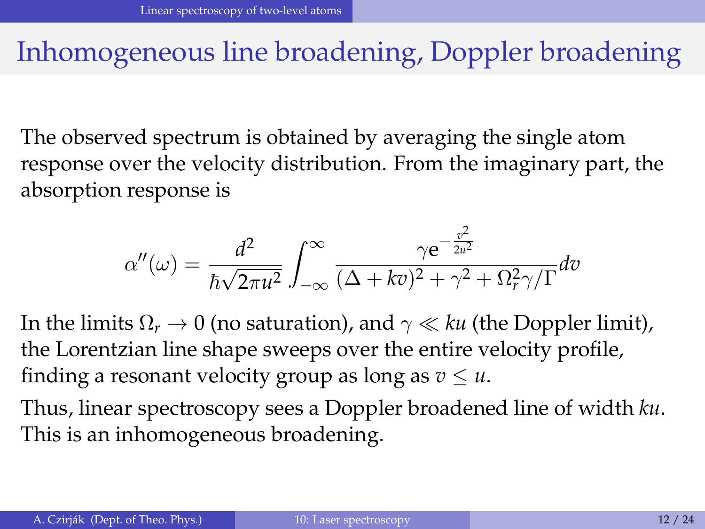#### <span id="page-11-0"></span>Inhomogeneous line broadening, Doppler broadening

The observed spectrum is obtained by averaging the single atom response over the velocity distribution. From the imaginary part, the absorption response is

$$
\alpha''(\omega) = \frac{d^2}{\hbar\sqrt{2\pi u^2}} \int_{-\infty}^{\infty} \frac{\gamma e^{-\frac{v^2}{2u^2}}}{(\Delta + k\tau)^2 + \gamma^2 + \Omega_r^2 \gamma/\Gamma} d\tau
$$

In the limits  $\Omega_r \to 0$  (no saturation), and  $\gamma \ll ku$  (the Doppler limit), the Lorentzian line shape sweeps over the entire velocity profile, finding a resonant velocity group as long as  $v \leq u$ .

Thus, linear spectroscopy sees a Doppler broadened line of width *ku*. This is an inhomogeneous broadening.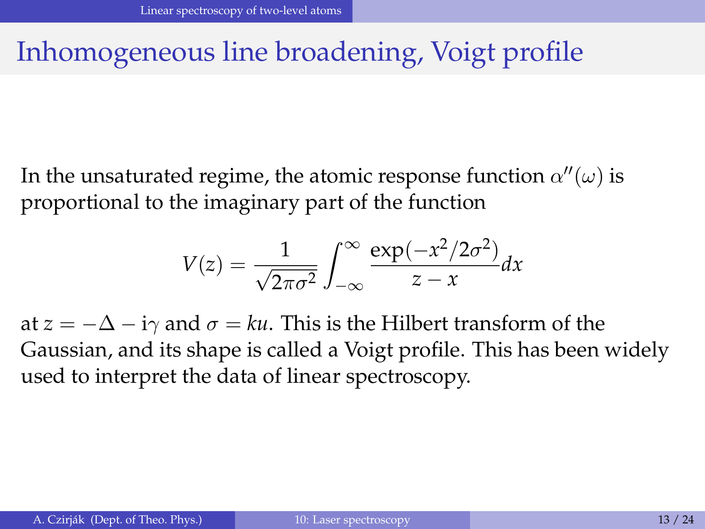## <span id="page-12-0"></span>Inhomogeneous line broadening, Voigt profile

In the unsaturated regime, the atomic response function  $\alpha''(\omega)$  is proportional to the imaginary part of the function

$$
V(z) = \frac{1}{\sqrt{2\pi\sigma^2}} \int_{-\infty}^{\infty} \frac{\exp(-x^2/2\sigma^2)}{z-x} dx
$$

at  $z = -\Delta - i\gamma$  and  $\sigma = ku$ . This is the Hilbert transform of the Gaussian, and its shape is called a Voigt profile. This has been widely used to interpret the data of linear spectroscopy.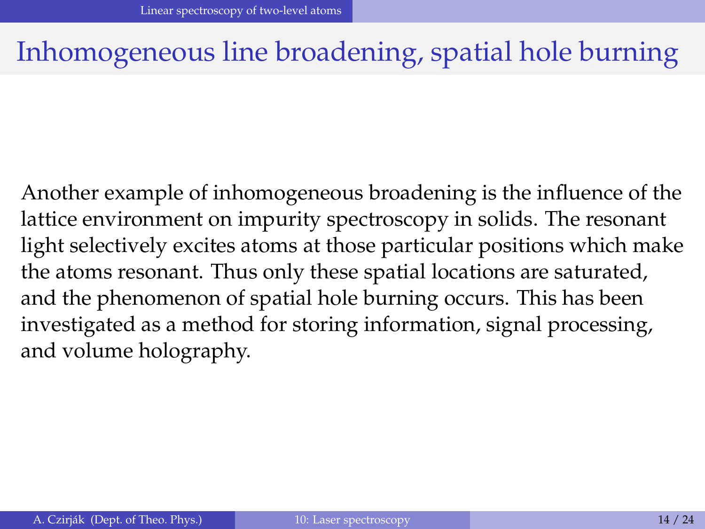#### <span id="page-13-0"></span>Inhomogeneous line broadening, spatial hole burning

Another example of inhomogeneous broadening is the influence of the lattice environment on impurity spectroscopy in solids. The resonant light selectively excites atoms at those particular positions which make the atoms resonant. Thus only these spatial locations are saturated, and the phenomenon of spatial hole burning occurs. This has been investigated as a method for storing information, signal processing, and volume holography.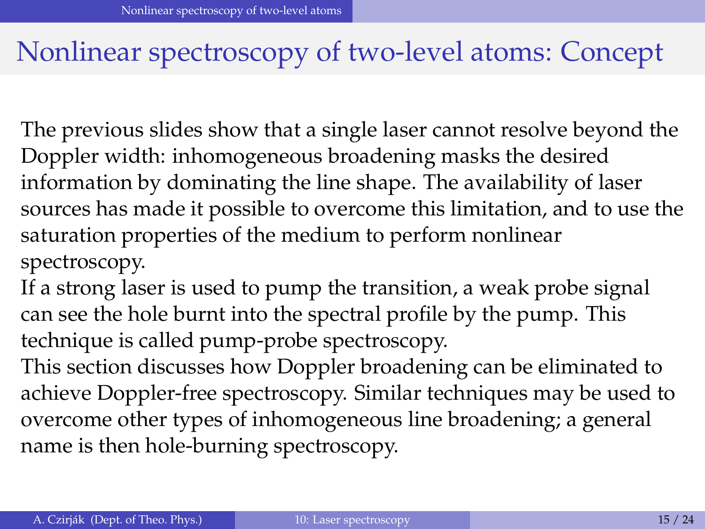#### <span id="page-14-0"></span>Nonlinear spectroscopy of two-level atoms: Concept

The previous slides show that a single laser cannot resolve beyond the Doppler width: inhomogeneous broadening masks the desired information by dominating the line shape. The availability of laser sources has made it possible to overcome this limitation, and to use the saturation properties of the medium to perform nonlinear spectroscopy.

If a strong laser is used to pump the transition, a weak probe signal can see the hole burnt into the spectral profile by the pump. This technique is called pump-probe spectroscopy.

This section discusses how Doppler broadening can be eliminated to achieve Doppler-free spectroscopy. Similar techniques may be used to overcome other types of inhomogeneous line broadening; a general name is then hole-burning spectroscopy.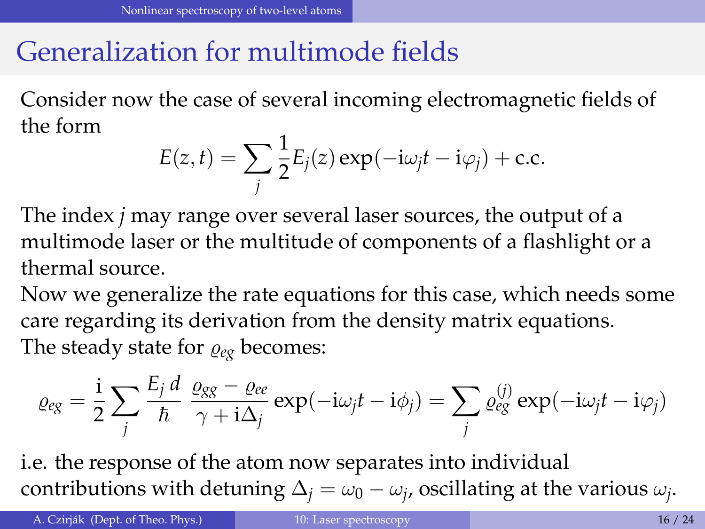## <span id="page-15-0"></span>Generalization for multimode fields

Consider now the case of several incoming electromagnetic fields of the form

$$
E(z,t) = \sum_{j} \frac{1}{2} E_j(z) \exp(-i\omega_j t - i\varphi_j) + \text{c.c.}
$$

The index *j* may range over several laser sources, the output of a multimode laser or the multitude of components of a flashlight or a thermal source.

Now we generalize the rate equations for this case, which needs some care regarding its derivation from the density matrix equations. The steady state for  $\rho_{eg}$  becomes:

$$
\varrho_{eg} = \frac{i}{2} \sum_j \frac{E_j d}{\hbar} \frac{\varrho_{gg} - \varrho_{ee}}{\gamma + i \Delta_j} \exp(-i\omega_j t - i\phi_j) = \sum_j \varrho_{eg}^{(j)} \exp(-i\omega_j t - i\varphi_j)
$$

i.e. the response of the atom now separates into individual contributions with detuning  $\Delta_j = \omega_0 - \omega_j$ , oscillating at the various  $\omega_j$ .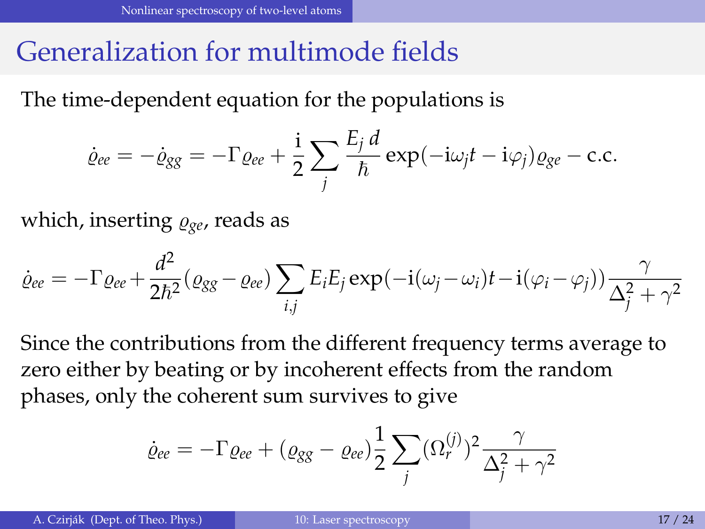#### <span id="page-16-0"></span>Generalization for multimode fields

The time-dependent equation for the populations is

$$
\dot{\varrho}_{ee} = -\dot{\varrho}_{gg} = -\Gamma \varrho_{ee} + \frac{\mathrm{i}}{2} \sum_j \frac{E_j d}{\hbar} \exp(-\mathrm{i}\omega_j t - \mathrm{i}\varphi_j) \varrho_{ge} - \mathrm{c.c.}
$$

which, inserting  $\rho_{ge}$ , reads as

$$
\dot{\varrho}_{ee} = -\Gamma \varrho_{ee} + \frac{d^2}{2\hbar^2} (\varrho_{gg} - \varrho_{ee}) \sum_{i,j} E_i E_j \exp(-i(\omega_j - \omega_i)t - i(\varphi_i - \varphi_j)) \frac{\gamma}{\Delta_j^2 + \gamma^2}
$$

Since the contributions from the different frequency terms average to zero either by beating or by incoherent effects from the random phases, only the coherent sum survives to give

$$
\dot{\varrho}_{ee} = -\Gamma \varrho_{ee} + (\varrho_{gg} - \varrho_{ee}) \frac{1}{2} \sum_j (\Omega_r^{(j)})^2 \frac{\gamma}{\Delta_j^2 + \gamma^2}
$$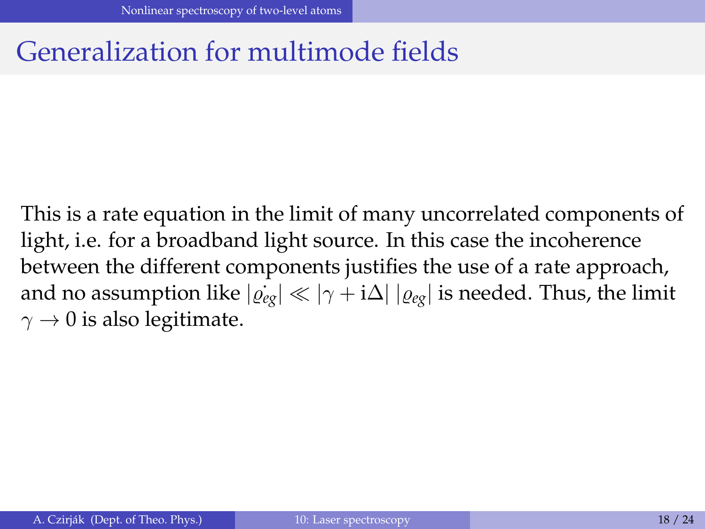#### <span id="page-17-0"></span>Generalization for multimode fields

This is a rate equation in the limit of many uncorrelated components of light, i.e. for a broadband light source. In this case the incoherence between the different components justifies the use of a rate approach, and no assumption like  $|\dot{\varrho}_{eg}| \ll |\gamma + i\Delta| |\varrho_{eg}|$  is needed. Thus, the limit  $\gamma \rightarrow 0$  is also legitimate.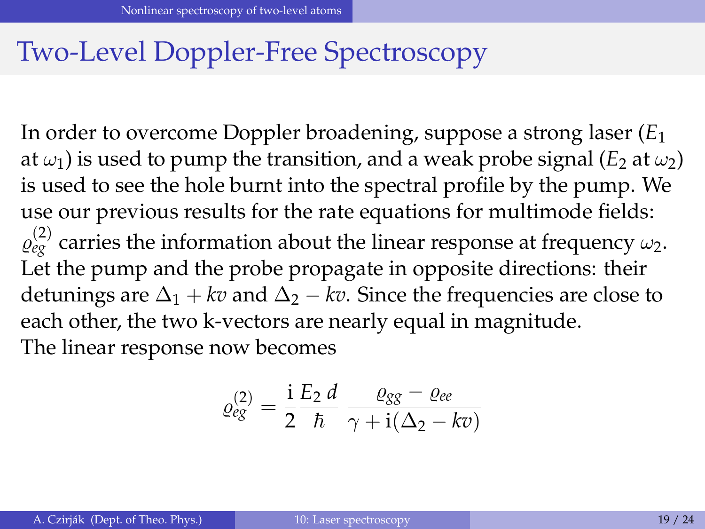#### <span id="page-18-0"></span>Two-Level Doppler-Free Spectroscopy

In order to overcome Doppler broadening, suppose a strong laser (*E*<sup>1</sup> at  $\omega_1$ ) is used to pump the transition, and a weak probe signal (*E*<sub>2</sub> at  $\omega_2$ ) is used to see the hole burnt into the spectral profile by the pump. We use our previous results for the rate equations for multimode fields:  $\varrho_{eg}^{(2)}$  carries the information about the linear response at frequency  $\omega_2$ . Let the pump and the probe propagate in opposite directions: their detunings are  $\Delta_1 + kv$  and  $\Delta_2 - kv$ . Since the frequencies are close to each other, the two k-vectors are nearly equal in magnitude. The linear response now becomes

$$
\varrho_{eg}^{(2)} = \frac{\mathrm{i}}{2} \frac{E_2 d}{\hbar} \frac{\varrho_{gg} - \varrho_{ee}}{\gamma + \mathrm{i}(\Delta_2 - k v)}
$$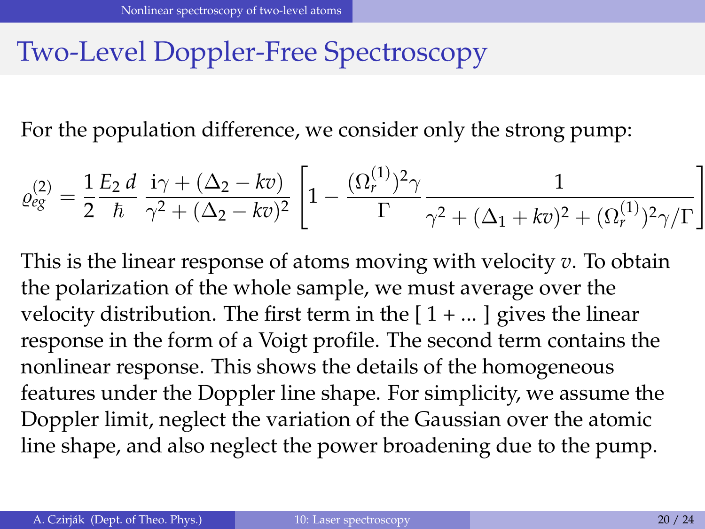## <span id="page-19-0"></span>Two-Level Doppler-Free Spectroscopy

For the population difference, we consider only the strong pump:

$$
\varrho_{eg}^{(2)} = \frac{1}{2} \frac{E_2 d}{\hbar} \frac{i\gamma + (\Delta_2 - k\overline{v})}{\gamma^2 + (\Delta_2 - k\overline{v})^2} \left[ 1 - \frac{(\Omega_r^{(1)})^2 \gamma}{\Gamma} \frac{1}{\gamma^2 + (\Delta_1 + k\overline{v})^2 + (\Omega_r^{(1)})^2 \gamma/\Gamma} \right]
$$

This is the linear response of atoms moving with velocity *v*. To obtain the polarization of the whole sample, we must average over the velocity distribution. The first term in the  $[1 + ...]$  gives the linear response in the form of a Voigt profile. The second term contains the nonlinear response. This shows the details of the homogeneous features under the Doppler line shape. For simplicity, we assume the Doppler limit, neglect the variation of the Gaussian over the atomic line shape, and also neglect the power broadening due to the pump.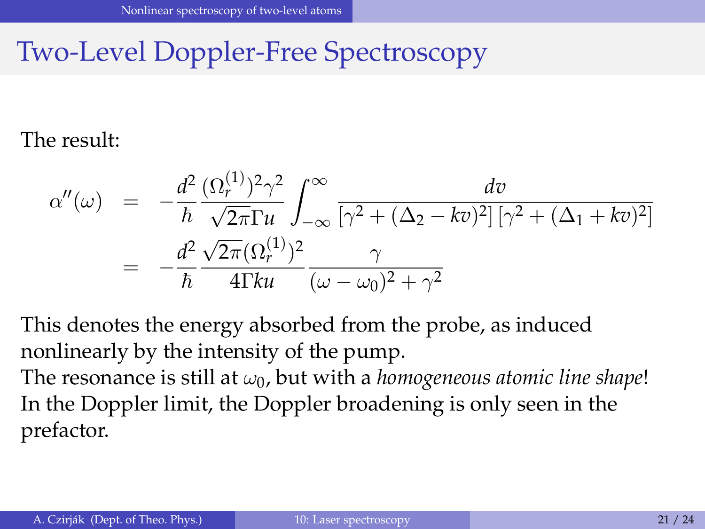## <span id="page-20-0"></span>Two-Level Doppler-Free Spectroscopy

#### The result:

$$
\alpha''(\omega) = -\frac{d^2}{\hbar} \frac{(\Omega_r^{(1)})^2 \gamma^2}{\sqrt{2\pi} \Gamma u} \int_{-\infty}^{\infty} \frac{dv}{\left[\gamma^2 + (\Delta_2 - kv)^2\right] \left[\gamma^2 + (\Delta_1 + kv)^2\right]}
$$
  
= 
$$
-\frac{d^2}{\hbar} \frac{\sqrt{2\pi} (\Omega_r^{(1)})^2}{4\Gamma ku} \frac{\gamma}{(\omega - \omega_0)^2 + \gamma^2}
$$

This denotes the energy absorbed from the probe, as induced nonlinearly by the intensity of the pump.

The resonance is still at  $\omega_0$ , but with a *homogeneous atomic line shape!* In the Doppler limit, the Doppler broadening is only seen in the prefactor.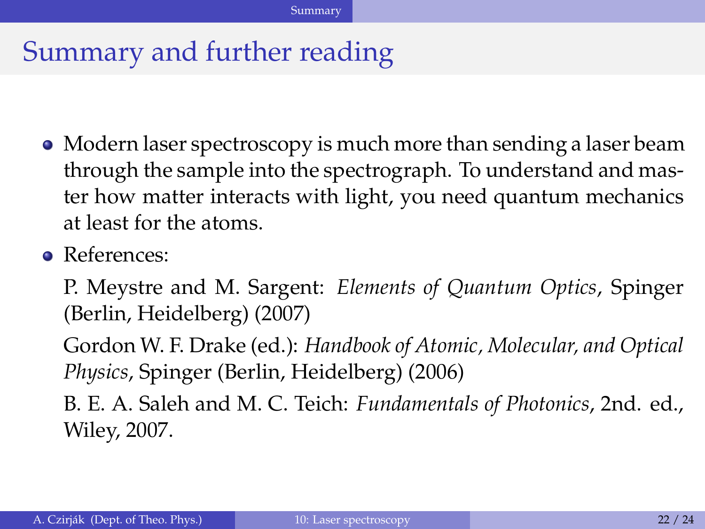#### <span id="page-21-0"></span>Summary and further reading

- Modern laser spectroscopy is much more than sending a laser beam through the sample into the spectrograph. To understand and master how matter interacts with light, you need quantum mechanics at least for the atoms.
- References:

P. Meystre and M. Sargent: *Elements of Quantum Optics*, Spinger (Berlin, Heidelberg) (2007)

Gordon W. F. Drake (ed.): *Handbook of Atomic, Molecular, and Optical Physics*, Spinger (Berlin, Heidelberg) (2006)

B. E. A. Saleh and M. C. Teich: *Fundamentals of Photonics*, 2nd. ed., Wiley, 2007.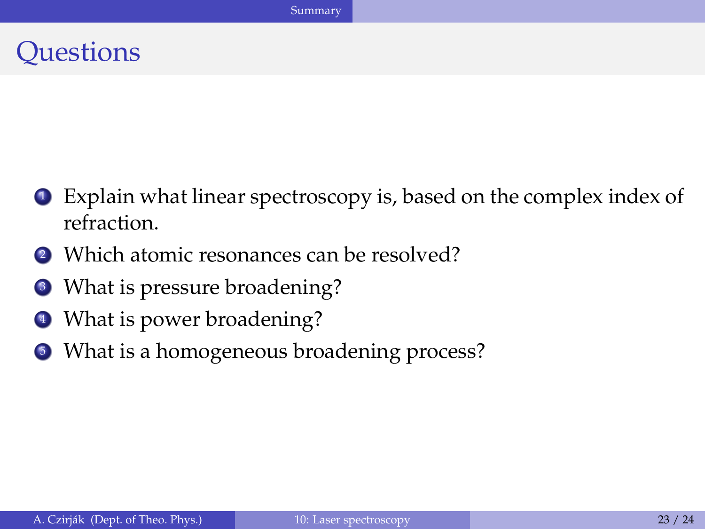#### <span id="page-22-0"></span>**Ouestions**

- <sup>1</sup> Explain what linear spectroscopy is, based on the complex index of refraction.
- 2 Which atomic resonances can be resolved?
- What is pressure broadening?
- <sup>4</sup> What is power broadening?
- <sup>5</sup> What is a homogeneous broadening process?